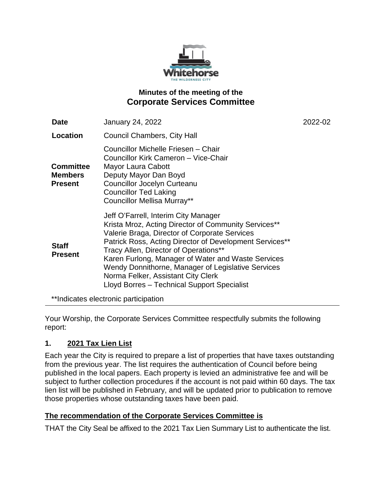

# **Minutes of the meeting of the Corporate Services Committee**

| <b>Date</b>                                          | <b>January 24, 2022</b>                                                                                                                                                                                                                                                                                                                                                                                                                            | 2022-02 |
|------------------------------------------------------|----------------------------------------------------------------------------------------------------------------------------------------------------------------------------------------------------------------------------------------------------------------------------------------------------------------------------------------------------------------------------------------------------------------------------------------------------|---------|
| Location                                             | <b>Council Chambers, City Hall</b>                                                                                                                                                                                                                                                                                                                                                                                                                 |         |
| <b>Committee</b><br><b>Members</b><br><b>Present</b> | Councillor Michelle Friesen - Chair<br>Councillor Kirk Cameron - Vice-Chair<br>Mayor Laura Cabott<br>Deputy Mayor Dan Boyd<br><b>Councillor Jocelyn Curteanu</b><br><b>Councillor Ted Laking</b><br><b>Councillor Mellisa Murray**</b>                                                                                                                                                                                                             |         |
| <b>Staff</b><br><b>Present</b>                       | Jeff O'Farrell, Interim City Manager<br>Krista Mroz, Acting Director of Community Services**<br>Valerie Braga, Director of Corporate Services<br>Patrick Ross, Acting Director of Development Services**<br>Tracy Allen, Director of Operations**<br>Karen Furlong, Manager of Water and Waste Services<br>Wendy Donnithorne, Manager of Legislative Services<br>Norma Felker, Assistant City Clerk<br>Lloyd Borres - Technical Support Specialist |         |

\*\*Indicates electronic participation

Your Worship, the Corporate Services Committee respectfully submits the following report:

# **1. 2021 Tax Lien List**

Each year the City is required to prepare a list of properties that have taxes outstanding from the previous year. The list requires the authentication of Council before being published in the local papers. Each property is levied an administrative fee and will be subject to further collection procedures if the account is not paid within 60 days. The tax lien list will be published in February, and will be updated prior to publication to remove those properties whose outstanding taxes have been paid.

## **The recommendation of the Corporate Services Committee is**

THAT the City Seal be affixed to the 2021 Tax Lien Summary List to authenticate the list.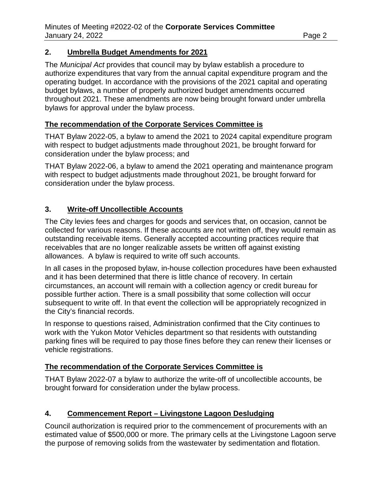#### **2. Umbrella Budget Amendments for 2021**

The *Municipal Act* provides that council may by bylaw establish a procedure to authorize expenditures that vary from the annual capital expenditure program and the operating budget. In accordance with the provisions of the 2021 capital and operating budget bylaws, a number of properly authorized budget amendments occurred throughout 2021. These amendments are now being brought forward under umbrella bylaws for approval under the bylaw process.

#### **The recommendation of the Corporate Services Committee is**

THAT Bylaw 2022-05, a bylaw to amend the 2021 to 2024 capital expenditure program with respect to budget adjustments made throughout 2021, be brought forward for consideration under the bylaw process; and

THAT Bylaw 2022-06, a bylaw to amend the 2021 operating and maintenance program with respect to budget adjustments made throughout 2021, be brought forward for consideration under the bylaw process.

## **3. Write-off Uncollectible Accounts**

The City levies fees and charges for goods and services that, on occasion, cannot be collected for various reasons. If these accounts are not written off, they would remain as outstanding receivable items. Generally accepted accounting practices require that receivables that are no longer realizable assets be written off against existing allowances. A bylaw is required to write off such accounts.

In all cases in the proposed bylaw, in-house collection procedures have been exhausted and it has been determined that there is little chance of recovery. In certain circumstances, an account will remain with a collection agency or credit bureau for possible further action. There is a small possibility that some collection will occur subsequent to write off. In that event the collection will be appropriately recognized in the City's financial records.

In response to questions raised, Administration confirmed that the City continues to work with the Yukon Motor Vehicles department so that residents with outstanding parking fines will be required to pay those fines before they can renew their licenses or vehicle registrations.

## **The recommendation of the Corporate Services Committee is**

THAT Bylaw 2022-07 a bylaw to authorize the write-off of uncollectible accounts, be brought forward for consideration under the bylaw process.

## **4. Commencement Report – Livingstone Lagoon Desludging**

Council authorization is required prior to the commencement of procurements with an estimated value of \$500,000 or more. The primary cells at the Livingstone Lagoon serve the purpose of removing solids from the wastewater by sedimentation and flotation.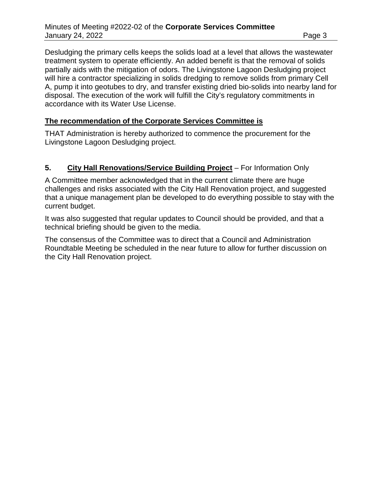Desludging the primary cells keeps the solids load at a level that allows the wastewater treatment system to operate efficiently. An added benefit is that the removal of solids partially aids with the mitigation of odors. The Livingstone Lagoon Desludging project will hire a contractor specializing in solids dredging to remove solids from primary Cell A, pump it into geotubes to dry, and transfer existing dried bio-solids into nearby land for disposal. The execution of the work will fulfill the City's regulatory commitments in accordance with its Water Use License.

#### **The recommendation of the Corporate Services Committee is**

THAT Administration is hereby authorized to commence the procurement for the Livingstone Lagoon Desludging project.

#### **5. City Hall Renovations/Service Building Project** – For Information Only

A Committee member acknowledged that in the current climate there are huge challenges and risks associated with the City Hall Renovation project, and suggested that a unique management plan be developed to do everything possible to stay with the current budget.

It was also suggested that regular updates to Council should be provided, and that a technical briefing should be given to the media.

The consensus of the Committee was to direct that a Council and Administration Roundtable Meeting be scheduled in the near future to allow for further discussion on the City Hall Renovation project.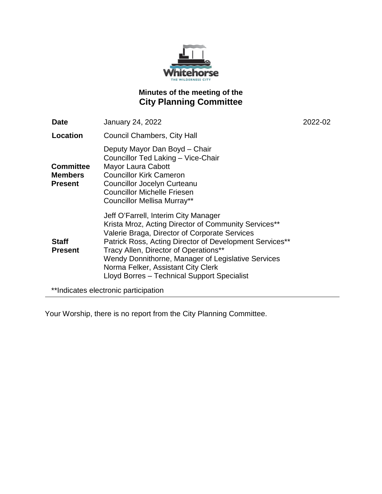

# **Minutes of the meeting of the City Planning Committee**

| <b>Date</b>                                          | <b>January 24, 2022</b>                                                                                                                                                                                                                                                                                                                                                                      | 2022-02 |
|------------------------------------------------------|----------------------------------------------------------------------------------------------------------------------------------------------------------------------------------------------------------------------------------------------------------------------------------------------------------------------------------------------------------------------------------------------|---------|
| Location                                             | Council Chambers, City Hall                                                                                                                                                                                                                                                                                                                                                                  |         |
| <b>Committee</b><br><b>Members</b><br><b>Present</b> | Deputy Mayor Dan Boyd - Chair<br>Councillor Ted Laking - Vice-Chair<br>Mayor Laura Cabott<br><b>Councillor Kirk Cameron</b><br><b>Councillor Jocelyn Curteanu</b><br><b>Councillor Michelle Friesen</b><br><b>Councillor Mellisa Murray**</b>                                                                                                                                                |         |
| <b>Staff</b><br><b>Present</b>                       | Jeff O'Farrell, Interim City Manager<br>Krista Mroz, Acting Director of Community Services**<br>Valerie Braga, Director of Corporate Services<br>Patrick Ross, Acting Director of Development Services**<br>Tracy Allen, Director of Operations**<br>Wendy Donnithorne, Manager of Legislative Services<br>Norma Felker, Assistant City Clerk<br>Lloyd Borres - Technical Support Specialist |         |
| **Indicates electronic participation                 |                                                                                                                                                                                                                                                                                                                                                                                              |         |

Your Worship, there is no report from the City Planning Committee.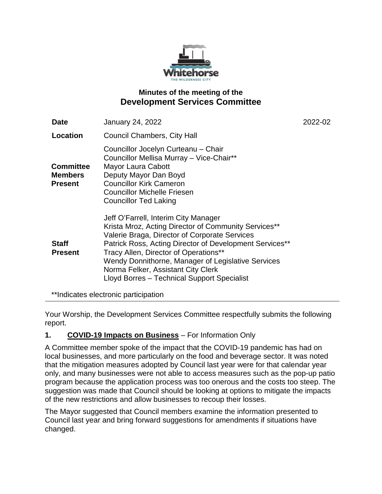

## **Minutes of the meeting of the Development Services Committee**

| <b>Date</b>                                          | <b>January 24, 2022</b>                                                                                                                                                                                                                                                                                                                                                                      | 2022-02 |
|------------------------------------------------------|----------------------------------------------------------------------------------------------------------------------------------------------------------------------------------------------------------------------------------------------------------------------------------------------------------------------------------------------------------------------------------------------|---------|
| Location                                             | <b>Council Chambers, City Hall</b>                                                                                                                                                                                                                                                                                                                                                           |         |
| <b>Committee</b><br><b>Members</b><br><b>Present</b> | Councillor Jocelyn Curteanu - Chair<br>Councillor Mellisa Murray - Vice-Chair**<br>Mayor Laura Cabott<br>Deputy Mayor Dan Boyd<br><b>Councillor Kirk Cameron</b><br><b>Councillor Michelle Friesen</b><br><b>Councillor Ted Laking</b>                                                                                                                                                       |         |
| <b>Staff</b><br><b>Present</b>                       | Jeff O'Farrell, Interim City Manager<br>Krista Mroz, Acting Director of Community Services**<br>Valerie Braga, Director of Corporate Services<br>Patrick Ross, Acting Director of Development Services**<br>Tracy Allen, Director of Operations**<br>Wendy Donnithorne, Manager of Legislative Services<br>Norma Felker, Assistant City Clerk<br>Lloyd Borres - Technical Support Specialist |         |

\*\*Indicates electronic participation

Your Worship, the Development Services Committee respectfully submits the following report.

## **1. COVID-19 Impacts on Business** – For Information Only

A Committee member spoke of the impact that the COVID-19 pandemic has had on local businesses, and more particularly on the food and beverage sector. It was noted that the mitigation measures adopted by Council last year were for that calendar year only, and many businesses were not able to access measures such as the pop-up patio program because the application process was too onerous and the costs too steep. The suggestion was made that Council should be looking at options to mitigate the impacts of the new restrictions and allow businesses to recoup their losses.

The Mayor suggested that Council members examine the information presented to Council last year and bring forward suggestions for amendments if situations have changed.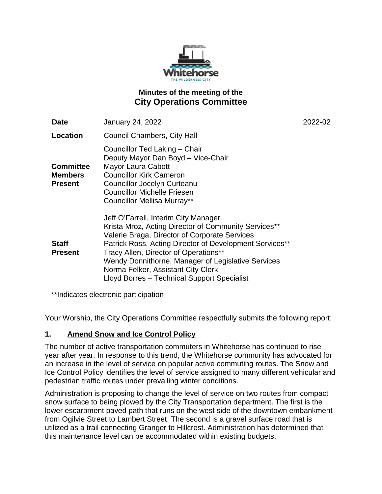

# **Minutes of the meeting of the City Operations Committee**

| <b>Date</b>                                          | <b>January 24, 2022</b>                                                                                                                                                                                                                                                                                                                                                                      | 2022-02 |
|------------------------------------------------------|----------------------------------------------------------------------------------------------------------------------------------------------------------------------------------------------------------------------------------------------------------------------------------------------------------------------------------------------------------------------------------------------|---------|
| Location                                             | <b>Council Chambers, City Hall</b>                                                                                                                                                                                                                                                                                                                                                           |         |
| <b>Committee</b><br><b>Members</b><br><b>Present</b> | Councillor Ted Laking - Chair<br>Deputy Mayor Dan Boyd - Vice-Chair<br>Mayor Laura Cabott<br><b>Councillor Kirk Cameron</b><br>Councillor Jocelyn Curteanu<br><b>Councillor Michelle Friesen</b><br><b>Councillor Mellisa Murray**</b>                                                                                                                                                       |         |
| <b>Staff</b><br><b>Present</b>                       | Jeff O'Farrell, Interim City Manager<br>Krista Mroz, Acting Director of Community Services**<br>Valerie Braga, Director of Corporate Services<br>Patrick Ross, Acting Director of Development Services**<br>Tracy Allen, Director of Operations**<br>Wendy Donnithorne, Manager of Legislative Services<br>Norma Felker, Assistant City Clerk<br>Lloyd Borres - Technical Support Specialist |         |
|                                                      | **Indicates electronic participation                                                                                                                                                                                                                                                                                                                                                         |         |

Your Worship, the City Operations Committee respectfully submits the following report:

## **1. Amend Snow and Ice Control Policy**

The number of active transportation commuters in Whitehorse has continued to rise year after year. In response to this trend, the Whitehorse community has advocated for an increase in the level of service on popular active commuting routes. The Snow and Ice Control Policy identifies the level of service assigned to many different vehicular and pedestrian traffic routes under prevailing winter conditions.

Administration is proposing to change the level of service on two routes from compact snow surface to being plowed by the City Transportation department. The first is the lower escarpment paved path that runs on the west side of the downtown embankment from Ogilvie Street to Lambert Street. The second is a gravel surface road that is utilized as a trail connecting Granger to Hillcrest. Administration has determined that this maintenance level can be accommodated within existing budgets.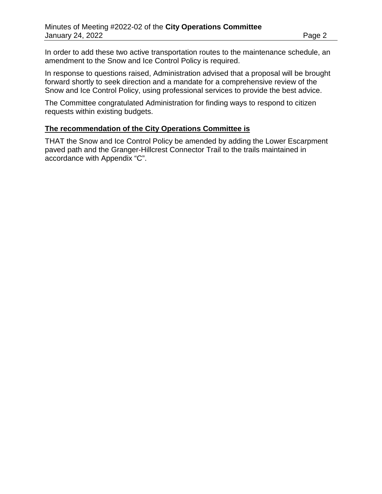In order to add these two active transportation routes to the maintenance schedule, an amendment to the Snow and Ice Control Policy is required.

In response to questions raised, Administration advised that a proposal will be brought forward shortly to seek direction and a mandate for a comprehensive review of the Snow and Ice Control Policy, using professional services to provide the best advice.

The Committee congratulated Administration for finding ways to respond to citizen requests within existing budgets.

#### **The recommendation of the City Operations Committee is**

THAT the Snow and Ice Control Policy be amended by adding the Lower Escarpment paved path and the Granger-Hillcrest Connector Trail to the trails maintained in accordance with Appendix "C".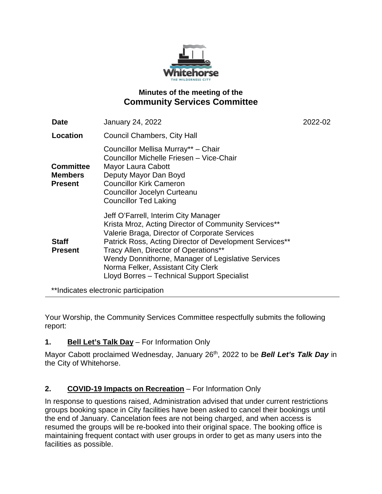

# **Minutes of the meeting of the Community Services Committee**

| <b>Date</b>                                          | <b>January 24, 2022</b>                                                                                                                                                                                                                                                                                                                                                                      | 2022-02 |
|------------------------------------------------------|----------------------------------------------------------------------------------------------------------------------------------------------------------------------------------------------------------------------------------------------------------------------------------------------------------------------------------------------------------------------------------------------|---------|
| Location                                             | <b>Council Chambers, City Hall</b>                                                                                                                                                                                                                                                                                                                                                           |         |
| <b>Committee</b><br><b>Members</b><br><b>Present</b> | Councillor Mellisa Murray** - Chair<br>Councillor Michelle Friesen - Vice-Chair<br>Mayor Laura Cabott<br>Deputy Mayor Dan Boyd<br><b>Councillor Kirk Cameron</b><br><b>Councillor Jocelyn Curteanu</b><br><b>Councillor Ted Laking</b>                                                                                                                                                       |         |
| <b>Staff</b><br><b>Present</b>                       | Jeff O'Farrell, Interim City Manager<br>Krista Mroz, Acting Director of Community Services**<br>Valerie Braga, Director of Corporate Services<br>Patrick Ross, Acting Director of Development Services**<br>Tracy Allen, Director of Operations**<br>Wendy Donnithorne, Manager of Legislative Services<br>Norma Felker, Assistant City Clerk<br>Lloyd Borres - Technical Support Specialist |         |
|                                                      |                                                                                                                                                                                                                                                                                                                                                                                              |         |

\*\*Indicates electronic participation

Your Worship, the Community Services Committee respectfully submits the following report:

# **1. Bell Let's Talk Day** – For Information Only

Mayor Cabott proclaimed Wednesday, January 26th, 2022 to be *Bell Let's Talk Day* in the City of Whitehorse.

# **2. COVID-19 Impacts on Recreation** – For Information Only

In response to questions raised, Administration advised that under current restrictions groups booking space in City facilities have been asked to cancel their bookings until the end of January. Cancelation fees are not being charged, and when access is resumed the groups will be re-booked into their original space. The booking office is maintaining frequent contact with user groups in order to get as many users into the facilities as possible.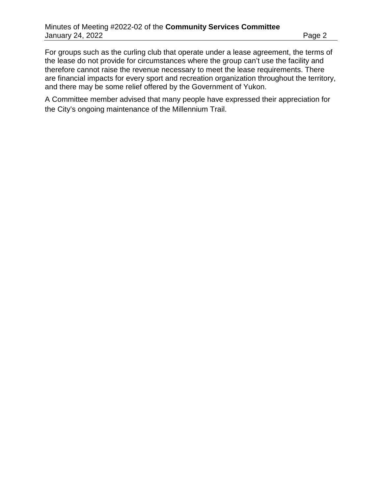For groups such as the curling club that operate under a lease agreement, the terms of the lease do not provide for circumstances where the group can't use the facility and therefore cannot raise the revenue necessary to meet the lease requirements. There are financial impacts for every sport and recreation organization throughout the territory, and there may be some relief offered by the Government of Yukon.

A Committee member advised that many people have expressed their appreciation for the City's ongoing maintenance of the Millennium Trail.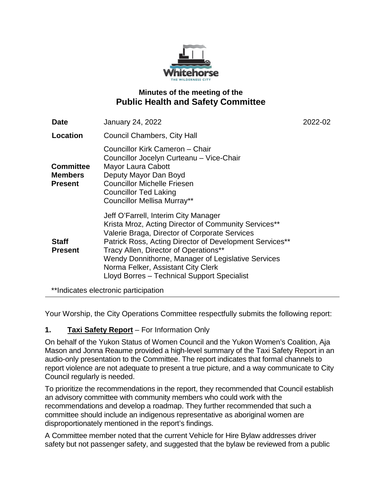

# **Minutes of the meeting of the Public Health and Safety Committee**

| <b>Date</b>                                          | <b>January 24, 2022</b>                                                                                                                                                                                                                                                                                                                                                                      | 2022-02 |
|------------------------------------------------------|----------------------------------------------------------------------------------------------------------------------------------------------------------------------------------------------------------------------------------------------------------------------------------------------------------------------------------------------------------------------------------------------|---------|
| Location                                             | Council Chambers, City Hall                                                                                                                                                                                                                                                                                                                                                                  |         |
| <b>Committee</b><br><b>Members</b><br><b>Present</b> | Councillor Kirk Cameron - Chair<br>Councillor Jocelyn Curteanu - Vice-Chair<br>Mayor Laura Cabott<br>Deputy Mayor Dan Boyd<br><b>Councillor Michelle Friesen</b><br><b>Councillor Ted Laking</b><br><b>Councillor Mellisa Murray**</b>                                                                                                                                                       |         |
| <b>Staff</b><br><b>Present</b>                       | Jeff O'Farrell, Interim City Manager<br>Krista Mroz, Acting Director of Community Services**<br>Valerie Braga, Director of Corporate Services<br>Patrick Ross, Acting Director of Development Services**<br>Tracy Allen, Director of Operations**<br>Wendy Donnithorne, Manager of Legislative Services<br>Norma Felker, Assistant City Clerk<br>Lloyd Borres - Technical Support Specialist |         |
|                                                      | **Indicates electronic participation                                                                                                                                                                                                                                                                                                                                                         |         |

Your Worship, the City Operations Committee respectfully submits the following report:

## **1. Taxi Safety Report** – For Information Only

On behalf of the Yukon Status of Women Council and the Yukon Women's Coalition, Aja Mason and Jonna Reaume provided a high-level summary of the Taxi Safety Report in an audio-only presentation to the Committee. The report indicates that formal channels to report violence are not adequate to present a true picture, and a way communicate to City Council regularly is needed.

To prioritize the recommendations in the report, they recommended that Council establish an advisory committee with community members who could work with the recommendations and develop a roadmap. They further recommended that such a committee should include an indigenous representative as aboriginal women are disproportionately mentioned in the report's findings.

A Committee member noted that the current Vehicle for Hire Bylaw addresses driver safety but not passenger safety, and suggested that the bylaw be reviewed from a public